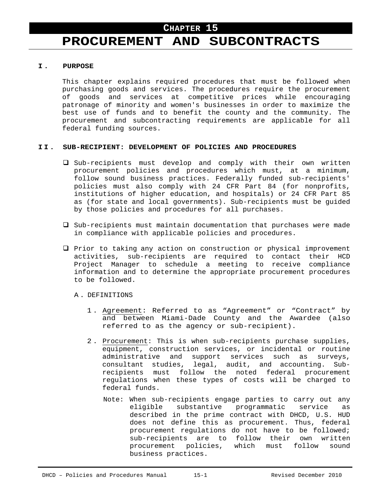# **PROCUREMENT AND SUBCONTRACTS**

#### **I . PURPOSE**

This chapter explains required procedures that must be followed when purchasing goods and services. The procedures require the procurement of goods and services at competitive prices while encouraging patronage of minority and women's businesses in order to maximize the best use of funds and to benefit the county and the community. The procurement and subcontracting requirements are applicable for all federal funding sources.

#### **II. SUB-RECIPIENT: DEVELOPMENT OF POLICIES AND PROCEDURES**

- $\square$  Sub-recipients must develop and comply with their own written procurement policies and procedures which must, at a minimum, follow sound business practices. Federally funded sub-recipients' policies must also comply with 24 CFR Part 84 (for nonprofits, institutions of higher education, and hospitals) or 24 CFR Part 85 as (for state and local governments). Sub-recipients must be guided by those policies and procedures for all purchases.
- $\square$  Sub-recipients must maintain documentation that purchases were made in compliance with applicable policies and procedures.
- $\Box$  Prior to taking any action on construction or physical improvement activities, sub-recipients are required to contact their HCD Project Manager to schedule a meeting to receive compliance information and to determine the appropriate procurement procedures to be followed.
	- A . DEFINITIONS
		- 1 . Agreement: Referred to as "Agreement" or "Contract" by and between Miami-Dade County and the Awardee (also referred to as the agency or sub-recipient).
		- 2 . Procurement: This is when sub-recipients purchase supplies, equipment, construction services, or incidental or routine administrative and support services such as surveys, consultant studies, legal, audit, and accounting. Subrecipients must follow the noted federal procurement regulations when these types of costs will be charged to federal funds.
			- Note: When sub-recipients engage parties to carry out any eligible substantive programmatic service as described in the prime contract with DHCD, U.S. HUD does not define this as procurement. Thus, federal procurement regulations do not have to be followed; sub-recipients are to follow their own written procurement policies, which must follow sound business practices.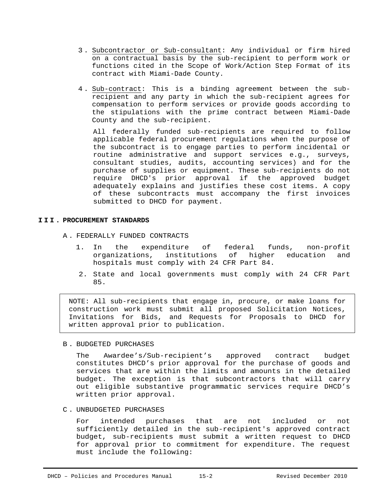- 3 . Subcontractor or Sub-consultant: Any individual or firm hired on a contractual basis by the sub-recipient to perform work or functions cited in the Scope of Work/Action Step Format of its contract with Miami-Dade County.
- 4 . Sub-contract: This is a binding agreement between the subrecipient and any party in which the sub-recipient agrees for compensation to perform services or provide goods according to the stipulations with the prime contract between Miami-Dade County and the sub-recipient.

All federally funded sub-recipients are required to follow applicable federal procurement regulations when the purpose of the subcontract is to engage parties to perform incidental or routine administrative and support services e.g., surveys, consultant studies, audits, accounting services) and for the purchase of supplies or equipment. These sub-recipients do not require DHCD's prior approval if the approved budget adequately explains and justifies these cost items. A copy of these subcontracts must accompany the first invoices submitted to DHCD for payment.

## **III. PROCUREMENT STANDARDS**

- A . FEDERALLY FUNDED CONTRACTS
	- 1. In the expenditure of federal funds, non-profit organizations, institutions of higher education and hospitals must comply with 24 CFR Part 84.
	- 2. State and local governments must comply with 24 CFR Part 85.

NOTE: All sub-recipients that engage in, procure, or make loans for construction work must submit all proposed Solicitation Notices, Invitations for Bids, and Requests for Proposals to DHCD for written approval prior to publication.

B . BUDGETED PURCHASES

The Awardee's/Sub-recipient's approved contract budget constitutes DHCD's prior approval for the purchase of goods and services that are within the limits and amounts in the detailed budget. The exception is that subcontractors that will carry out eligible substantive programmatic services require DHCD's written prior approval.

C . UNBUDGETED PURCHASES

For intended purchases that are not included or not sufficiently detailed in the sub-recipient's approved contract budget, sub-recipients must submit a written request to DHCD for approval prior to commitment for expenditure. The request must include the following: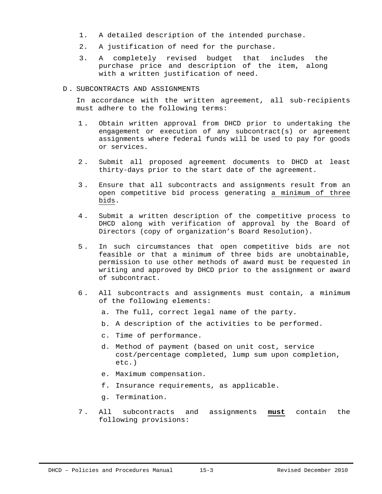- 1. A detailed description of the intended purchase.
- 2. A justification of need for the purchase.
- 3. A completely revised budget that includes the purchase price and description of the item, along with a written justification of need.

#### D . SUBCONTRACTS AND ASSIGNMENTS

In accordance with the written agreement, all sub-recipients must adhere to the following terms:

- 1 . Obtain written approval from DHCD prior to undertaking the engagement or execution of any subcontract(s) or agreement assignments where federal funds will be used to pay for goods or services.
- 2 . Submit all proposed agreement documents to DHCD at least thirty-days prior to the start date of the agreement.
- 3 . Ensure that all subcontracts and assignments result from an open competitive bid process generating a minimum of three bids.
- 4 . Submit a written description of the competitive process to DHCD along with verification of approval by the Board of Directors (copy of organization's Board Resolution).
- 5 . In such circumstances that open competitive bids are not feasible or that a minimum of three bids are unobtainable, permission to use other methods of award must be requested in writing and approved by DHCD prior to the assignment or award of subcontract.
- 6 . All subcontracts and assignments must contain, a minimum of the following elements:
	- a. The full, correct legal name of the party.
	- b. A description of the activities to be performed.
	- c. Time of performance.
	- d. Method of payment (based on unit cost, service cost/percentage completed, lump sum upon completion, etc.)
	- e. Maximum compensation.
	- f. Insurance requirements, as applicable.
	- g. Termination.
- 7 . All subcontracts and assignments **must** contain the following provisions: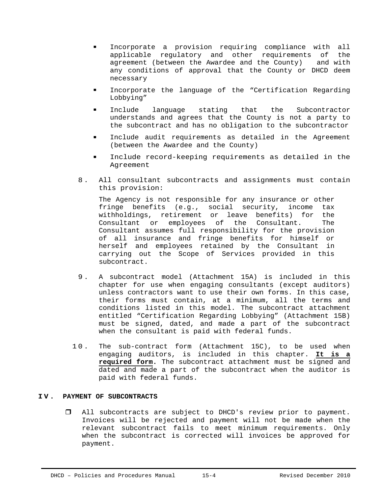- Incorporate a provision requiring compliance with all applicable regulatory and other requirements of the agreement (between the Awardee and the County) and with any conditions of approval that the County or DHCD deem necessary
- Incorporate the language of the "Certification Regarding Lobbying"
- **Include language stating that the Subcontractor** understands and agrees that the County is not a party to the subcontract and has no obligation to the subcontractor
- Include audit requirements as detailed in the Agreement (between the Awardee and the County)
- Include record-keeping requirements as detailed in the Agreement
- 8 . All consultant subcontracts and assignments must contain this provision:

The Agency is not responsible for any insurance or other fringe benefits (e.g., social security, income tax withholdings, retirement or leave benefits) for the Consultant or employees of the Consultant. The Consultant assumes full responsibility for the provision of all insurance and fringe benefits for himself or herself and employees retained by the Consultant in carrying out the Scope of Services provided in this subcontract.

- 9 . A subcontract model (Attachment 15A) is included in this chapter for use when engaging consultants (except auditors) unless contractors want to use their own forms. In this case, their forms must contain, at a minimum, all the terms and conditions listed in this model. The subcontract attachment entitled "Certification Regarding Lobbying" (Attachment 15B) must be signed, dated, and made a part of the subcontract when the consultant is paid with federal funds.
- 10. The sub-contract form (Attachment 15C), to be used when engaging auditors, is included in this chapter. **It is a required form.** The subcontract attachment must be signed and dated and made a part of the subcontract when the auditor is paid with federal funds.

# **IV. PAYMENT OF SUBCONTRACTS**

 All subcontracts are subject to DHCD's review prior to payment. Invoices will be rejected and payment will not be made when the relevant subcontract fails to meet minimum requirements. Only when the subcontract is corrected will invoices be approved for payment.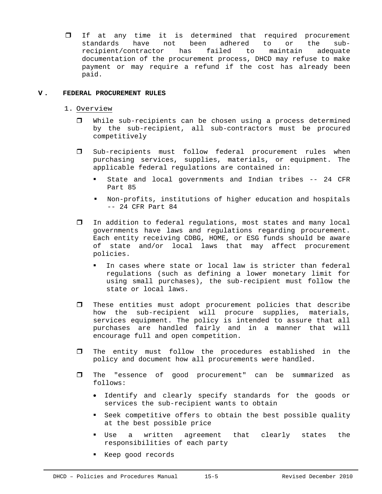If at any time it is determined that required procurement standards have not been adhered to or the subrecipient/contractor has failed to maintain adequate documentation of the procurement process, DHCD may refuse to make payment or may require a refund if the cost has already been paid.

# **V . FEDERAL PROCUREMENT RULES**

- 1. Overview
	- While sub-recipients can be chosen using a process determined by the sub-recipient, all sub-contractors must be procured competitively
	- Sub-recipients must follow federal procurement rules when purchasing services, supplies, materials, or equipment. The applicable federal regulations are contained in:
		- State and local governments and Indian tribes -- 24 CFR Part 85
		- Non-profits, institutions of higher education and hospitals -- 24 CFR Part 84
	- In addition to federal regulations, most states and many local governments have laws and regulations regarding procurement. Each entity receiving CDBG, HOME, or ESG funds should be aware of state and/or local laws that may affect procurement policies.
		- In cases where state or local law is stricter than federal regulations (such as defining a lower monetary limit for using small purchases), the sub-recipient must follow the state or local laws.
	- $\Box$  These entities must adopt procurement policies that describe how the sub-recipient will procure supplies, materials, services equipment. The policy is intended to assure that all purchases are handled fairly and in a manner that will encourage full and open competition.
	- The entity must follow the procedures established in the policy and document how all procurements were handled.
	- The "essence of good procurement" can be summarized as follows:
		- Identify and clearly specify standards for the goods or services the sub-recipient wants to obtain
		- Seek competitive offers to obtain the best possible quality at the best possible price
		- Use a written agreement that clearly states the responsibilities of each party
		- Keep good records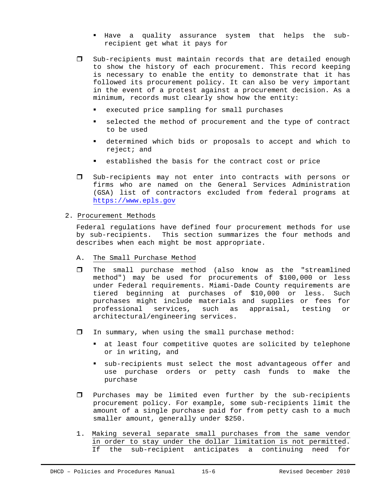- Have a quality assurance system that helps the subrecipient get what it pays for
- Sub-recipients must maintain records that are detailed enough to show the history of each procurement. This record keeping is necessary to enable the entity to demonstrate that it has followed its procurement policy. It can also be very important in the event of a protest against a procurement decision. As a minimum, records must clearly show how the entity:
	- executed price sampling for small purchases
	- selected the method of procurement and the type of contract to be used
	- determined which bids or proposals to accept and which to reject; and
	- established the basis for the contract cost or price
- $\square$  Sub-recipients may not enter into contracts with persons or firms who are named on the General Services Administration (GSA) list of contractors excluded from federal programs at https://www.epls.gov

## 2. Procurement Methods

Federal regulations have defined four procurement methods for use by sub-recipients. This section summarizes the four methods and describes when each might be most appropriate.

- A. The Small Purchase Method
- The small purchase method (also know as the "streamlined method") may be used for procurements of \$100,000 or less under Federal requirements. Miami-Dade County requirements are tiered beginning at purchases of \$10,000 or less. Such purchases might include materials and supplies or fees for professional services, such as appraisal, testing or architectural/engineering services.
- $\Box$  In summary, when using the small purchase method:
	- at least four competitive quotes are solicited by telephone or in writing, and
	- sub-recipients must select the most advantageous offer and use purchase orders or petty cash funds to make the purchase
- $\Box$  Purchases may be limited even further by the sub-recipients procurement policy. For example, some sub-recipients limit the amount of a single purchase paid for from petty cash to a much smaller amount, generally under \$250.
- 1. Making several separate small purchases from the same vendor in order to stay under the dollar limitation is not permitted. If the sub-recipient anticipates a continuing need for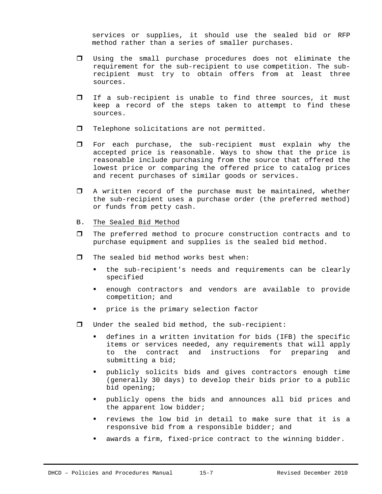services or supplies, it should use the sealed bid or RFP method rather than a series of smaller purchases.

- Using the small purchase procedures does not eliminate the requirement for the sub-recipient to use competition. The subrecipient must try to obtain offers from at least three sources.
- If a sub-recipient is unable to find three sources, it must keep a record of the steps taken to attempt to find these sources.
- Telephone solicitations are not permitted.
- For each purchase, the sub-recipient must explain why the accepted price is reasonable. Ways to show that the price is reasonable include purchasing from the source that offered the lowest price or comparing the offered price to catalog prices and recent purchases of similar goods or services.
- A written record of the purchase must be maintained, whether the sub-recipient uses a purchase order (the preferred method) or funds from petty cash.
- B. The Sealed Bid Method
- The preferred method to procure construction contracts and to purchase equipment and supplies is the sealed bid method.
- $\Box$  The sealed bid method works best when:
	- the sub-recipient's needs and requirements can be clearly specified
	- enough contractors and vendors are available to provide competition; and
	- price is the primary selection factor
- Under the sealed bid method, the sub-recipient:
	- defines in a written invitation for bids (IFB) the specific items or services needed, any requirements that will apply to the contract and instructions for preparing and submitting a bid;
	- publicly solicits bids and gives contractors enough time (generally 30 days) to develop their bids prior to a public bid opening;
	- publicly opens the bids and announces all bid prices and the apparent low bidder;
	- reviews the low bid in detail to make sure that it is a responsive bid from a responsible bidder; and
	- awards a firm, fixed-price contract to the winning bidder.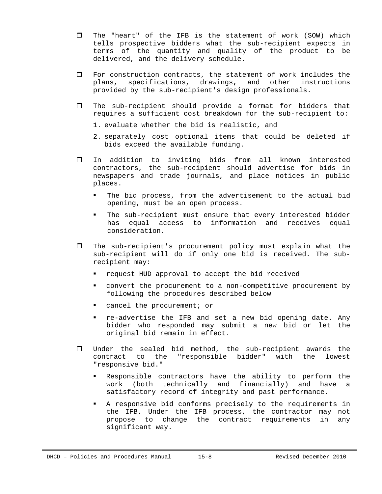- $\Box$  The "heart" of the IFB is the statement of work (SOW) which tells prospective bidders what the sub-recipient expects in terms of the quantity and quality of the product to be delivered, and the delivery schedule.
- $\Box$  For construction contracts, the statement of work includes the plans, specifications, drawings, and other instructions provided by the sub-recipient's design professionals.
- The sub-recipient should provide a format for bidders that requires a sufficient cost breakdown for the sub-recipient to:
	- 1. evaluate whether the bid is realistic, and
	- 2. separately cost optional items that could be deleted if bids exceed the available funding.
- In addition to inviting bids from all known interested contractors, the sub-recipient should advertise for bids in newspapers and trade journals, and place notices in public places.
	- The bid process, from the advertisement to the actual bid opening, must be an open process.
	- The sub-recipient must ensure that every interested bidder has equal access to information and receives equal consideration.
- $\Box$  The sub-recipient's procurement policy must explain what the sub-recipient will do if only one bid is received. The subrecipient may:
	- request HUD approval to accept the bid received
	- convert the procurement to a non-competitive procurement by following the procedures described below
	- cancel the procurement; or
	- re-advertise the IFB and set a new bid opening date. Any bidder who responded may submit a new bid or let the original bid remain in effect.
- Under the sealed bid method, the sub-recipient awards the contract to the "responsible bidder" with the lowest "responsive bid."
	- Responsible contractors have the ability to perform the work (both technically and financially) and have a satisfactory record of integrity and past performance.
	- A responsive bid conforms precisely to the requirements in the IFB. Under the IFB process, the contractor may not propose to change the contract requirements in any significant way.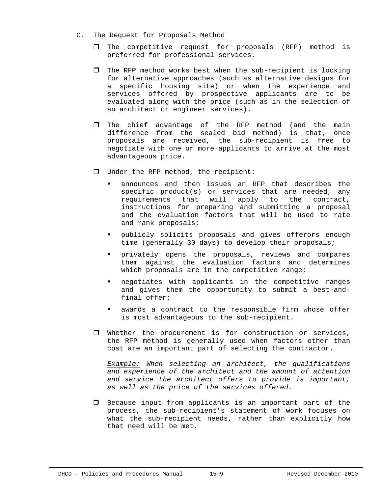- C. The Request for Proposals Method
	- $\Box$  The competitive request for proposals (RFP) method is preferred for professional services.
	- $\Box$  The RFP method works best when the sub-recipient is looking for alternative approaches (such as alternative designs for a specific housing site) or when the experience and services offered by prospective applicants are to be evaluated along with the price (such as in the selection of an architect or engineer services).
	- $\square$  The chief advantage of the RFP method (and the main difference from the sealed bid method) is that, once proposals are received, the sub-recipient is free to negotiate with one or more applicants to arrive at the most advantageous price.
	- Under the RFP method, the recipient:
		- announces and then issues an RFP that describes the specific product(s) or services that are needed, any requirements that will apply to the contract, instructions for preparing and submitting a proposal and the evaluation factors that will be used to rate and rank proposals;
		- publicly solicits proposals and gives offerors enough time (generally 30 days) to develop their proposals;
		- privately opens the proposals, reviews and compares them against the evaluation factors and determines which proposals are in the competitive range;
		- negotiates with applicants in the competitive ranges and gives them the opportunity to submit a best-andfinal offer;
		- awards a contract to the responsible firm whose offer is most advantageous to the sub-recipient.
	- $\Box$  Whether the procurement is for construction or services, the RFP method is generally used when factors other than cost are an important part of selecting the contractor.

*Example: When selecting an architect, the qualifications and experience of the architect and the amount of attention and service the architect offers to provide is important, as well as the price of the services offered.*

 $\Box$  Because input from applicants is an important part of the process, the sub-recipient's statement of work focuses on what the sub-recipient needs, rather than explicitly how that need will be met.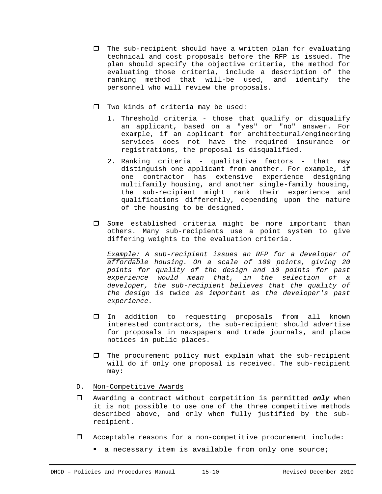- $\Box$  The sub-recipient should have a written plan for evaluating technical and cost proposals before the RFP is issued. The plan should specify the objective criteria, the method for evaluating those criteria, include a description of the ranking method that will-be used, and identify the personnel who will review the proposals.
- $\Box$  Two kinds of criteria may be used:
	- 1. Threshold criteria those that qualify or disqualify an applicant, based on a "yes" or "no" answer. For example, if an applicant for architectural/engineering services does not have the required insurance or registrations, the proposal is disqualified.
	- 2. Ranking criteria qualitative factors that may distinguish one applicant from another. For example, if one contractor has extensive experience designing multifamily housing, and another single-family housing, the sub-recipient might rank their experience and qualifications differently, depending upon the nature of the housing to be designed.
- $\square$  Some established criteria might be more important than others. Many sub-recipients use a point system to give differing weights to the evaluation criteria.

*Example: A sub-recipient issues an RFP for a developer of affordable housing. On a scale of 100 points, giving 20 points for quality of the design and 10 points for past experience would mean that, in the selection of a developer, the sub-recipient believes that the quality of the design is twice as important as the developer's past experience.*

- In addition to requesting proposals from all known interested contractors, the sub-recipient should advertise for proposals in newspapers and trade journals, and place notices in public places.
- $\Box$  The procurement policy must explain what the sub-recipient will do if only one proposal is received. The sub-recipient may:
- D. Non-Competitive Awards
- Awarding a contract without competition is permitted *only* when it is not possible to use one of the three competitive methods described above, and only when fully justified by the subrecipient.
- Acceptable reasons for a non-competitive procurement include:
	- a necessary item is available from only one source;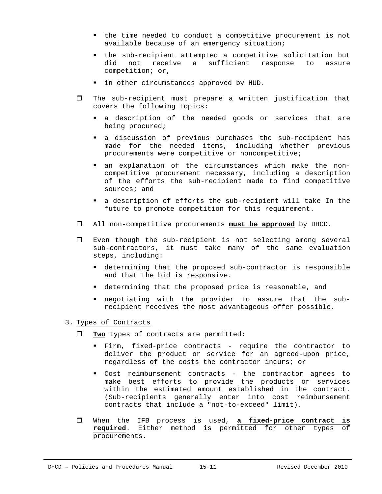- the time needed to conduct a competitive procurement is not available because of an emergency situation;
- the sub-recipient attempted a competitive solicitation but did not receive a sufficient response to assure competition; or,
- I in other circumstances approved by HUD.
- $\Box$  The sub-recipient must prepare a written justification that covers the following topics:
	- a description of the needed goods or services that are being procured;
	- a discussion of previous purchases the sub-recipient has made for the needed items, including whether previous procurements were competitive or noncompetitive;
	- an explanation of the circumstances which make the noncompetitive procurement necessary, including a description of the efforts the sub-recipient made to find competitive sources; and
	- a description of efforts the sub-recipient will take In the future to promote competition for this requirement.
- All non-competitive procurements **must be approved** by DHCD.
- Even though the sub-recipient is not selecting among several sub-contractors, it must take many of the same evaluation steps, including:
	- determining that the proposed sub-contractor is responsible and that the bid is responsive.
	- determining that the proposed price is reasonable, and
	- negotiating with the provider to assure that the subrecipient receives the most advantageous offer possible.

## 3. Types of Contracts

- **Two** types of contracts are permitted:
	- Firm, fixed-price contracts require the contractor to deliver the product or service for an agreed-upon price, regardless of the costs the contractor incurs; or
	- Cost reimbursement contracts the contractor agrees to make best efforts to provide the products or services within the estimated amount established in the contract. (Sub-recipients generally enter into cost reimbursement contracts that include a "not-to-exceed" limit).
- When the IFB process is used, **a fixed-price contract is required**. Either method is permitted for other types of procurements.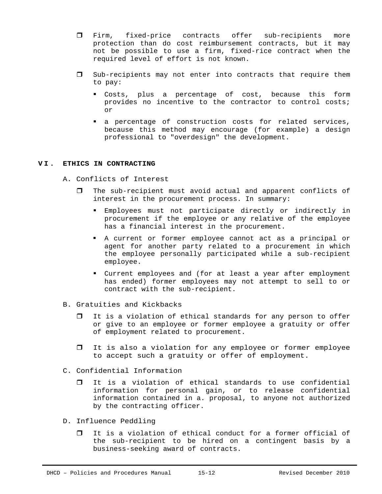- Firm, fixed-price contracts offer sub-recipients more protection than do cost reimbursement contracts, but it may not be possible to use a firm, fixed-rice contract when the required level of effort is not known.
- $\square$  Sub-recipients may not enter into contracts that require them to pay:
	- Costs, plus a percentage of cost, because this form provides no incentive to the contractor to control costs; or
	- a percentage of construction costs for related services, because this method may encourage (for example) a design professional to "overdesign" the development.

# **VI. ETHICS IN CONTRACTING**

- A. Conflicts of Interest
	- $\Box$  The sub-recipient must avoid actual and apparent conflicts of interest in the procurement process. In summary:
		- Employees must not participate directly or indirectly in procurement if the employee or any relative of the employee has a financial interest in the procurement.
		- A current or former employee cannot act as a principal or agent for another party related to a procurement in which the employee personally participated while a sub-recipient employee.
		- Current employees and (for at least a year after employment has ended) former employees may not attempt to sell to or contract with the sub-recipient.
- B. Gratuities and Kickbacks
	- $\Box$  It is a violation of ethical standards for any person to offer or give to an employee or former employee a gratuity or offer of employment related to procurement.
	- It is also a violation for any employee or former employee to accept such a gratuity or offer of employment.
- C. Confidential Information
	- It is a violation of ethical standards to use confidential information for personal gain, or to release confidential information contained in a. proposal, to anyone not authorized by the contracting officer.
- D. Influence Peddling
	- It is a violation of ethical conduct for a former official of the sub-recipient to be hired on a contingent basis by a business-seeking award of contracts.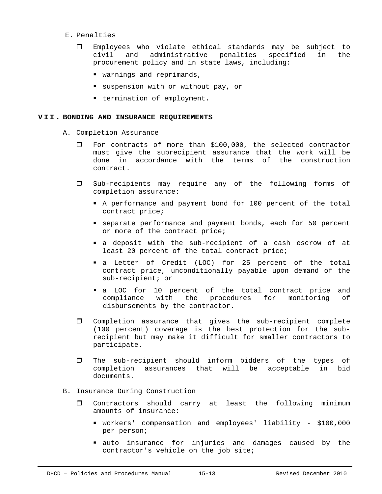- E. Penalties
	- Employees who violate ethical standards may be subject to civil and administrative penalties specified in the procurement policy and in state laws, including:
		- warnings and reprimands,
		- suspension with or without pay, or
		- **•** termination of employment.

#### **VII. BONDING AND INSURANCE REQUIREMENTS**

- A. Completion Assurance
	- For contracts of more than \$100,000, the selected contractor must give the subrecipient assurance that the work will be done in accordance with the terms of the construction contract.
	- Sub-recipients may require any of the following forms of completion assurance:
		- A performance and payment bond for 100 percent of the total contract price;
		- separate performance and payment bonds, each for 50 percent or more of the contract price;
		- a deposit with the sub-recipient of a cash escrow of at least 20 percent of the total contract price;
		- a Letter of Credit (LOC) for 25 percent of the total contract price, unconditionally payable upon demand of the sub-recipient; or
		- a LOC for 10 percent of the total contract price and compliance with the procedures for monitoring of disbursements by the contractor.
	- Completion assurance that gives the sub-recipient complete (100 percent) coverage is the best protection for the subrecipient but may make it difficult for smaller contractors to participate.
	- The sub-recipient should inform bidders of the types of completion assurances that will be acceptable in bid documents.

# B. Insurance During Construction

- Contractors should carry at least the following minimum amounts of insurance:
	- workers' compensation and employees' liability \$100,000 per person;
	- auto insurance for injuries and damages caused by the contractor's vehicle on the job site;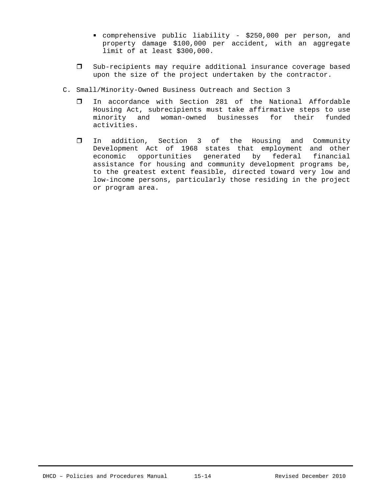- comprehensive public liability \$250,000 per person, and property damage \$100,000 per accident, with an aggregate limit of at least \$300,000.
- Sub-recipients may require additional insurance coverage based upon the size of the project undertaken by the contractor.
- C. Small/Minority-Owned Business Outreach and Section 3
	- In accordance with Section 281 of the National Affordable Housing Act, subrecipients must take affirmative steps to use minority and woman-owned businesses for their funded activities.
	- In addition, Section 3 of the Housing and Community Development Act of 1968 states that employment and other economic opportunities generated by federal financial assistance for housing and community development programs be, to the greatest extent feasible, directed toward very low and low-income persons, particularly those residing in the project or program area.